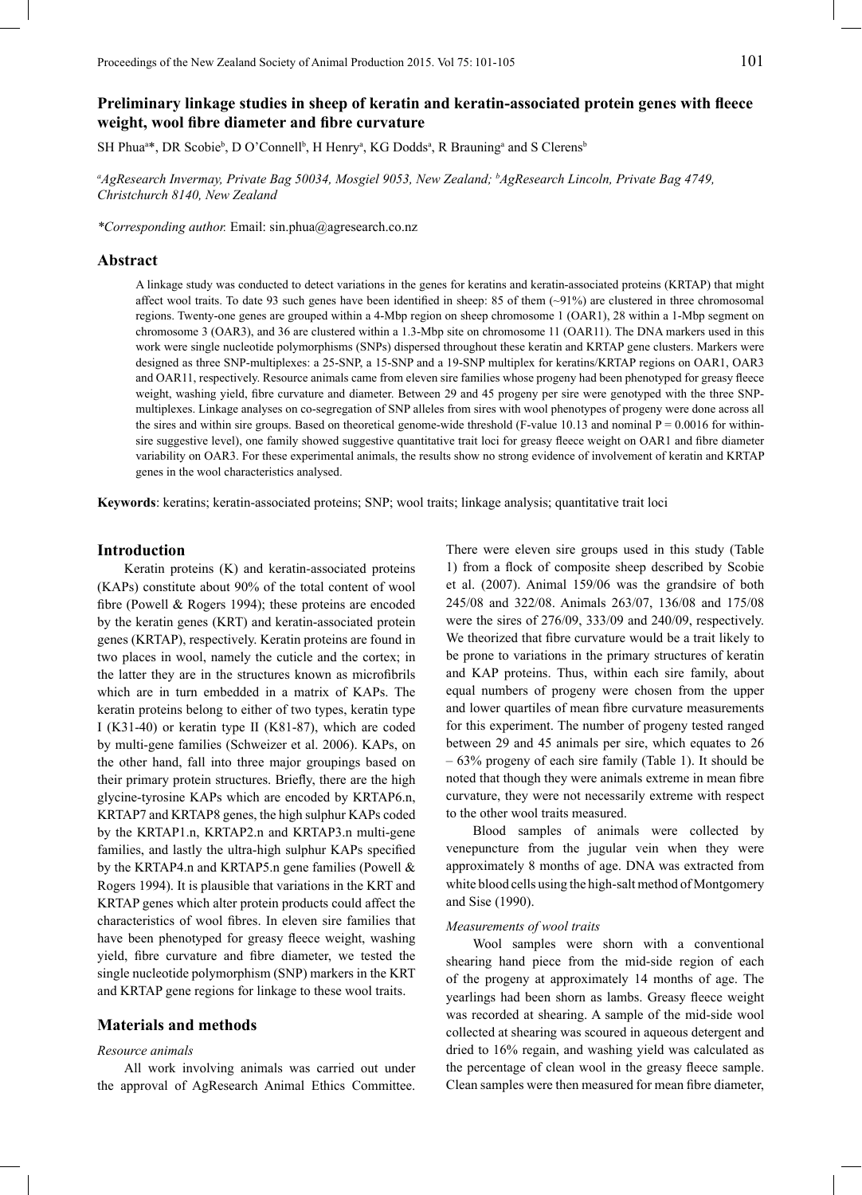# **Preliminary linkage studies in sheep of keratin and keratin-associated protein genes with fleece weight, wool fibre diameter and fibre curvature**

SH Phua<sup>a\*</sup>, DR Scobie<sup>b</sup>, D O'Connell<sup>b</sup>, H Henry<sup>a</sup>, KG Dodds<sup>a</sup>, R Brauning<sup>a</sup> and S Clerens<sup>b</sup>

*a AgResearch Invermay, Private Bag 50034, Mosgiel 9053, New Zealand; b AgResearch Lincoln, Private Bag 4749, Christchurch 8140, New Zealand*

*\*Corresponding author.* Email: sin.phua@agresearch.co.nz

### **Abstract**

A linkage study was conducted to detect variations in the genes for keratins and keratin-associated proteins (KRTAP) that might affect wool traits. To date 93 such genes have been identified in sheep: 85 of them (~91%) are clustered in three chromosomal regions. Twenty-one genes are grouped within a 4-Mbp region on sheep chromosome 1 (OAR1), 28 within a 1-Mbp segment on chromosome 3 (OAR3), and 36 are clustered within a 1.3-Mbp site on chromosome 11 (OAR11). The DNA markers used in this work were single nucleotide polymorphisms (SNPs) dispersed throughout these keratin and KRTAP gene clusters. Markers were designed as three SNP-multiplexes: a 25-SNP, a 15-SNP and a 19-SNP multiplex for keratins/KRTAP regions on OAR1, OAR3 and OAR11, respectively. Resource animals came from eleven sire families whose progeny had been phenotyped for greasy fleece weight, washing yield, fibre curvature and diameter. Between 29 and 45 progeny per sire were genotyped with the three SNPmultiplexes. Linkage analyses on co-segregation of SNP alleles from sires with wool phenotypes of progeny were done across all the sires and within sire groups. Based on theoretical genome-wide threshold (F-value 10.13 and nominal  $P = 0.0016$  for withinsire suggestive level), one family showed suggestive quantitative trait loci for greasy fleece weight on OAR1 and fibre diameter variability on OAR3. For these experimental animals, the results show no strong evidence of involvement of keratin and KRTAP genes in the wool characteristics analysed.

**Keywords**: keratins; keratin-associated proteins; SNP; wool traits; linkage analysis; quantitative trait loci

#### **Introduction**

Keratin proteins (K) and keratin-associated proteins (KAPs) constitute about 90% of the total content of wool fibre (Powell & Rogers 1994); these proteins are encoded by the keratin genes (KRT) and keratin-associated protein genes (KRTAP), respectively. Keratin proteins are found in two places in wool, namely the cuticle and the cortex; in the latter they are in the structures known as microfibrils which are in turn embedded in a matrix of KAPs. The keratin proteins belong to either of two types, keratin type I (K31-40) or keratin type II (K81-87), which are coded by multi-gene families (Schweizer et al. 2006). KAPs, on the other hand, fall into three major groupings based on their primary protein structures. Briefly, there are the high glycine-tyrosine KAPs which are encoded by KRTAP6.n, KRTAP7 and KRTAP8 genes, the high sulphur KAPs coded by the KRTAP1.n, KRTAP2.n and KRTAP3.n multi-gene families, and lastly the ultra-high sulphur KAPs specified by the KRTAP4.n and KRTAP5.n gene families (Powell & Rogers 1994). It is plausible that variations in the KRT and KRTAP genes which alter protein products could affect the characteristics of wool fibres. In eleven sire families that have been phenotyped for greasy fleece weight, washing yield, fibre curvature and fibre diameter, we tested the single nucleotide polymorphism (SNP) markers in the KRT and KRTAP gene regions for linkage to these wool traits.

# **Materials and methods**

#### *Resource animals*

All work involving animals was carried out under the approval of AgResearch Animal Ethics Committee.

There were eleven sire groups used in this study (Table 1) from a flock of composite sheep described by Scobie et al. (2007). Animal 159/06 was the grandsire of both 245/08 and 322/08. Animals 263/07, 136/08 and 175/08 were the sires of 276/09, 333/09 and 240/09, respectively. We theorized that fibre curvature would be a trait likely to be prone to variations in the primary structures of keratin and KAP proteins. Thus, within each sire family, about equal numbers of progeny were chosen from the upper and lower quartiles of mean fibre curvature measurements for this experiment. The number of progeny tested ranged between 29 and 45 animals per sire, which equates to 26 – 63% progeny of each sire family (Table 1). It should be noted that though they were animals extreme in mean fibre curvature, they were not necessarily extreme with respect to the other wool traits measured.

Blood samples of animals were collected by venepuncture from the jugular vein when they were approximately 8 months of age. DNA was extracted from white blood cells using the high-salt method of Montgomery and Sise (1990).

#### *Measurements of wool traits*

Wool samples were shorn with a conventional shearing hand piece from the mid-side region of each of the progeny at approximately 14 months of age. The yearlings had been shorn as lambs. Greasy fleece weight was recorded at shearing. A sample of the mid-side wool collected at shearing was scoured in aqueous detergent and dried to 16% regain, and washing yield was calculated as the percentage of clean wool in the greasy fleece sample. Clean samples were then measured for mean fibre diameter,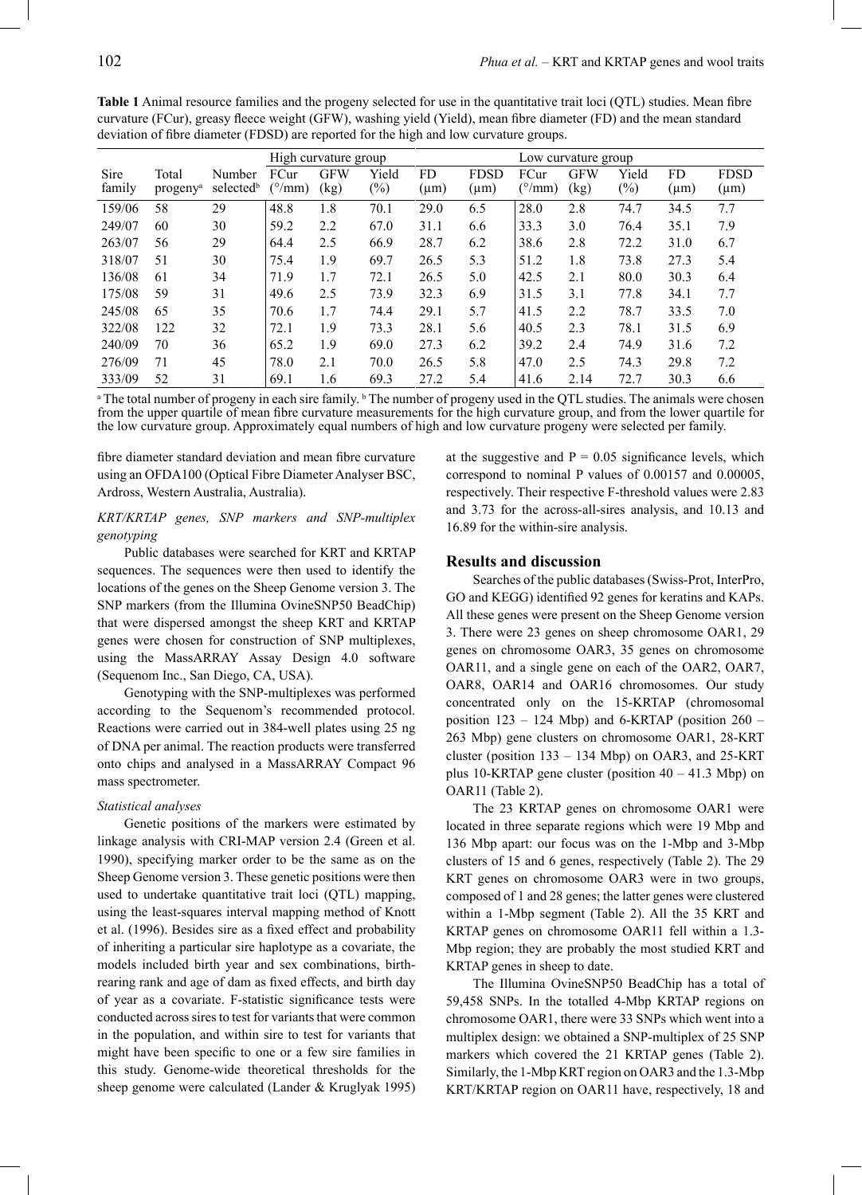|                |                               |                                 | High curvature group           |                    |                 |                  | Low curvature group      |                                |                    |                 |                 |                          |
|----------------|-------------------------------|---------------------------------|--------------------------------|--------------------|-----------------|------------------|--------------------------|--------------------------------|--------------------|-----------------|-----------------|--------------------------|
| Sire<br>family | Total<br>progeny <sup>a</sup> | Number<br>selected <sup>b</sup> | FCur<br>$(^{\circ}/\text{mm})$ | <b>GFW</b><br>(kg) | Yield<br>$(\%)$ | FD.<br>$(\mu m)$ | <b>FDSD</b><br>$(\mu m)$ | FCur<br>$(^{\circ}/\text{mm})$ | <b>GFW</b><br>(kg) | Yield<br>$(\%)$ | FD<br>$(\mu m)$ | <b>FDSD</b><br>$(\mu m)$ |
| 159/06         | 58                            | 29                              | 48.8                           | 1.8                | 70.1            | 29.0             | 6.5                      | 28.0                           | 2.8                | 74.7            | 34.5            | 7.7                      |
| 249/07         | 60                            | 30                              | 59.2                           | 2.2                | 67.0            | 31.1             | 6.6                      | 33.3                           | 3.0                | 76.4            | 35.1            | 7.9                      |
| 263/07         | 56                            | 29                              | 64.4                           | 2.5                | 66.9            | 28.7             | 6.2                      | 38.6                           | 2.8                | 72.2            | 31.0            | 6.7                      |
| 318/07         | 51                            | 30                              | 75.4                           | 1.9                | 69.7            | 26.5             | 5.3                      | 51.2                           | 1.8                | 73.8            | 27.3            | 5.4                      |
| 136/08         | 61                            | 34                              | 71.9                           | 1.7                | 72.1            | 26.5             | 5.0                      | 42.5                           | 2.1                | 80.0            | 30.3            | 6.4                      |
| 175/08         | 59                            | 31                              | 49.6                           | 2.5                | 73.9            | 32.3             | 6.9                      | 31.5                           | 3.1                | 77.8            | 34.1            | 7.7                      |
| 245/08         | 65                            | 35                              | 70.6                           | 1.7                | 74.4            | 29.1             | 5.7                      | 41.5                           | 2.2                | 78.7            | 33.5            | 7.0                      |
| 322/08         | 122                           | 32                              | 72.1                           | 1.9                | 73.3            | 28.1             | 5.6                      | 40.5                           | 2.3                | 78.1            | 31.5            | 6.9                      |
| 240/09         | 70                            | 36                              | 65.2                           | 1.9                | 69.0            | 27.3             | 6.2                      | 39.2                           | 2.4                | 74.9            | 31.6            | 7.2                      |
| 276/09         | 71                            | 45                              | 78.0                           | 2.1                | 70.0            | 26.5             | 5.8                      | 47.0                           | 2.5                | 74.3            | 29.8            | 7.2                      |
| 333/09         | 52                            | 31                              | 69.1                           | 1.6                | 69.3            | 27.2             | 5.4                      | 41.6                           | 2.14               | 72.7            | 30.3            | 6.6                      |

**Table 1** Animal resource families and the progeny selected for use in the quantitative trait loci (QTL) studies. Mean fibre curvature (FCur), greasy fleece weight (GFW), washing yield (Yield), mean fibre diameter (FD) and the mean standard deviation of fibre diameter (FDSD) are reported for the high and low curvature groups.

<sup>a</sup> The total number of progeny in each sire family. <sup>b</sup> The number of progeny used in the QTL studies. The animals were chosen from the upper quartile of mean fibre curvature measurements for the high curvature group, and from the lower quartile for the low curvature group. Approximately equal numbers of high and low curvature progeny were selected per family.

fibre diameter standard deviation and mean fibre curvature using an OFDA100 (Optical Fibre Diameter Analyser BSC, Ardross, Western Australia, Australia).

### *KRT/KRTAP genes, SNP markers and SNP-multiplex genotyping*

Public databases were searched for KRT and KRTAP sequences. The sequences were then used to identify the locations of the genes on the Sheep Genome version 3. The SNP markers (from the Illumina OvineSNP50 BeadChip) that were dispersed amongst the sheep KRT and KRTAP genes were chosen for construction of SNP multiplexes, using the MassARRAY Assay Design 4.0 software (Sequenom Inc., San Diego, CA, USA).

Genotyping with the SNP-multiplexes was performed according to the Sequenom's recommended protocol. Reactions were carried out in 384-well plates using 25 ng of DNA per animal. The reaction products were transferred onto chips and analysed in a MassARRAY Compact 96 mass spectrometer.

#### *Statistical analyses*

Genetic positions of the markers were estimated by linkage analysis with CRI-MAP version 2.4 (Green et al. 1990), specifying marker order to be the same as on the Sheep Genome version 3. These genetic positions were then used to undertake quantitative trait loci (QTL) mapping, using the least-squares interval mapping method of Knott et al. (1996). Besides sire as a fixed effect and probability of inheriting a particular sire haplotype as a covariate, the models included birth year and sex combinations, birthrearing rank and age of dam as fixed effects, and birth day of year as a covariate. F-statistic significance tests were conducted across sires to test for variants that were common in the population, and within sire to test for variants that might have been specific to one or a few sire families in this study. Genome-wide theoretical thresholds for the sheep genome were calculated (Lander & Kruglyak 1995) at the suggestive and  $P = 0.05$  significance levels, which correspond to nominal P values of 0.00157 and 0.00005, respectively. Their respective F-threshold values were 2.83 and 3.73 for the across-all-sires analysis, and 10.13 and 16.89 for the within-sire analysis.

## **Results and discussion**

Searches of the public databases (Swiss-Prot, InterPro, GO and KEGG) identified 92 genes for keratins and KAPs. All these genes were present on the Sheep Genome version 3. There were 23 genes on sheep chromosome OAR1, 29 genes on chromosome OAR3, 35 genes on chromosome OAR11, and a single gene on each of the OAR2, OAR7, OAR8, OAR14 and OAR16 chromosomes. Our study concentrated only on the 15-KRTAP (chromosomal position  $123 - 124$  Mbp) and 6-KRTAP (position  $260 -$ 263 Mbp) gene clusters on chromosome OAR1, 28-KRT cluster (position 133 – 134 Mbp) on OAR3, and 25-KRT plus 10-KRTAP gene cluster (position  $40 - 41.3$  Mbp) on OAR11 (Table 2).

The 23 KRTAP genes on chromosome OAR1 were located in three separate regions which were 19 Mbp and 136 Mbp apart: our focus was on the 1-Mbp and 3-Mbp clusters of 15 and 6 genes, respectively (Table 2). The 29 KRT genes on chromosome OAR3 were in two groups, composed of 1 and 28 genes; the latter genes were clustered within a 1-Mbp segment (Table 2). All the 35 KRT and KRTAP genes on chromosome OAR11 fell within a 1.3- Mbp region; they are probably the most studied KRT and KRTAP genes in sheep to date.

The Illumina OvineSNP50 BeadChip has a total of 59,458 SNPs. In the totalled 4-Mbp KRTAP regions on chromosome OAR1, there were 33 SNPs which went into a multiplex design: we obtained a SNP-multiplex of 25 SNP markers which covered the 21 KRTAP genes (Table 2). Similarly, the 1-Mbp KRT region on OAR3 and the 1.3-Mbp KRT/KRTAP region on OAR11 have, respectively, 18 and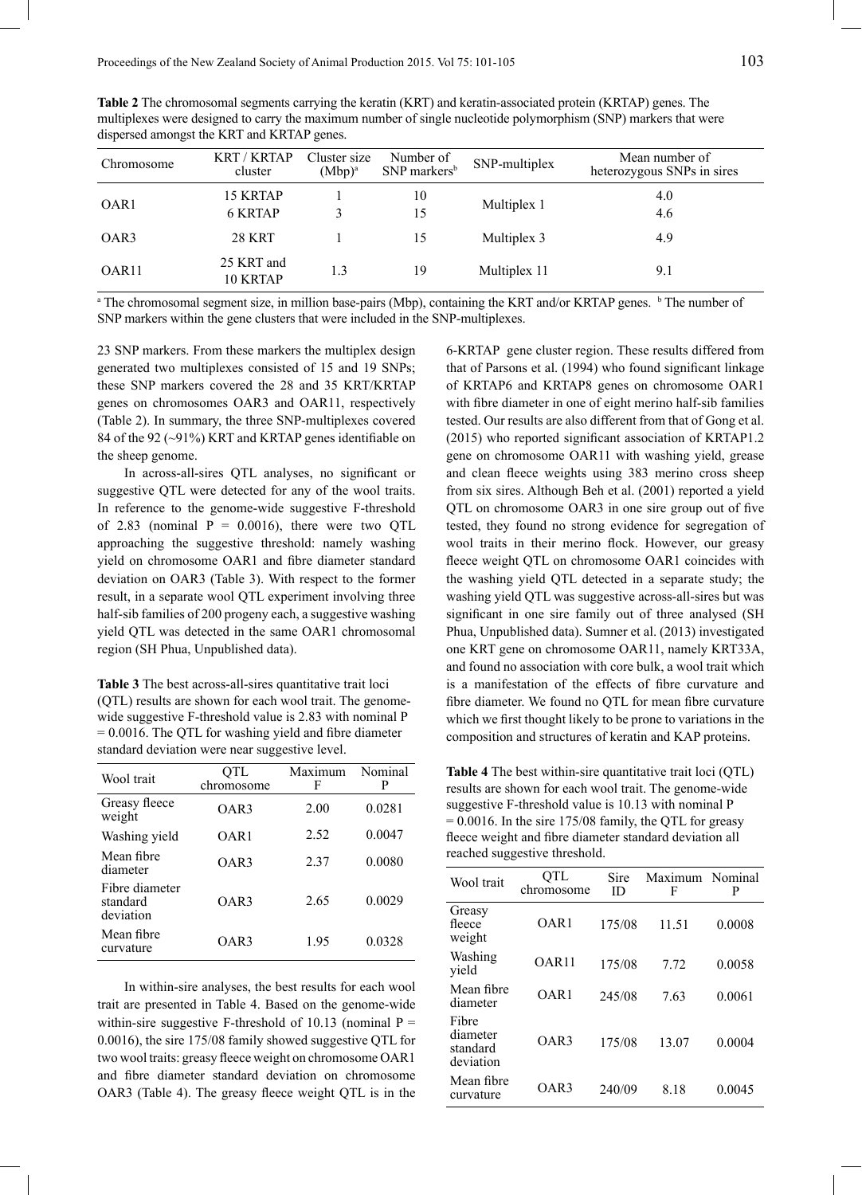**Table 2** The chromosomal segments carrying the keratin (KRT) and keratin-associated protein (KRTAP) genes. The multiplexes were designed to carry the maximum number of single nucleotide polymorphism (SNP) markers that were dispersed amongst the KRT and KRTAP genes.

| Chromosome        | <b>KRT/KRTAP</b><br>cluster       | Cluster size<br>$(Mbp)^a$ | Number of<br>SNP markers <sup>b</sup> | SNP-multiplex | Mean number of<br>heterozygous SNPs in sires |
|-------------------|-----------------------------------|---------------------------|---------------------------------------|---------------|----------------------------------------------|
| OAR <sub>1</sub>  | <b>15 KRTAP</b><br><b>6 KRTAP</b> |                           | 10<br>15                              | Multiplex 1   | 4.0<br>4.6                                   |
| OAR3              | <b>28 KRT</b>                     |                           | 15                                    | Multiplex 3   | 4.9                                          |
| OAR <sub>11</sub> | 25 KRT and<br>10 KRTAP            | 1.3                       | 19                                    | Multiplex 11  | 9.1                                          |

<sup>a</sup> The chromosomal segment size, in million base-pairs (Mbp), containing the KRT and/or KRTAP genes. <sup>b</sup> The number of SNP markers within the gene clusters that were included in the SNP-multiplexes.

23 SNP markers. From these markers the multiplex design generated two multiplexes consisted of 15 and 19 SNPs; these SNP markers covered the 28 and 35 KRT/KRTAP genes on chromosomes OAR3 and OAR11, respectively (Table 2). In summary, the three SNP-multiplexes covered 84 of the 92 (~91%) KRT and KRTAP genes identifiable on the sheep genome.

In across-all-sires QTL analyses, no significant or suggestive QTL were detected for any of the wool traits. In reference to the genome-wide suggestive F-threshold of 2.83 (nominal  $P = 0.0016$ ), there were two QTL approaching the suggestive threshold: namely washing yield on chromosome OAR1 and fibre diameter standard deviation on OAR3 (Table 3). With respect to the former result, in a separate wool QTL experiment involving three half-sib families of 200 progeny each, a suggestive washing yield QTL was detected in the same OAR1 chromosomal region (SH Phua, Unpublished data).

**Table 3** The best across-all-sires quantitative trait loci (QTL) results are shown for each wool trait. The genomewide suggestive F-threshold value is 2.83 with nominal P = 0.0016. The QTL for washing yield and fibre diameter standard deviation were near suggestive level.

| Wool trait                              | QTL<br>chromosome | Maximum<br>F | Nominal<br>P |  |
|-----------------------------------------|-------------------|--------------|--------------|--|
| Greasy fleece<br>weight                 | OAR3              | 2.00         | 0.0281       |  |
| Washing yield                           | OAR <sub>1</sub>  | 2.52         | 0.0047       |  |
| Mean fibre<br>diameter                  | OAR3              | 2.37         | 0.0080       |  |
| Fibre diameter<br>standard<br>deviation | OAR3              | 2.65         | 0.0029       |  |
| Mean fibre<br>curvature                 | OAR3              | 1.95         | 0.0328       |  |

In within-sire analyses, the best results for each wool trait are presented in Table 4. Based on the genome-wide within-sire suggestive F-threshold of 10.13 (nominal  $P =$ 0.0016), the sire 175/08 family showed suggestive QTL for two wool traits: greasy fleece weight on chromosome OAR1 and fibre diameter standard deviation on chromosome OAR3 (Table 4). The greasy fleece weight QTL is in the

6-KRTAP gene cluster region. These results differed from that of Parsons et al. (1994) who found significant linkage of KRTAP6 and KRTAP8 genes on chromosome OAR1 with fibre diameter in one of eight merino half-sib families tested. Our results are also different from that of Gong et al. (2015) who reported significant association of KRTAP1.2 gene on chromosome OAR11 with washing yield, grease and clean fleece weights using 383 merino cross sheep from six sires. Although Beh et al. (2001) reported a yield QTL on chromosome OAR3 in one sire group out of five tested, they found no strong evidence for segregation of wool traits in their merino flock. However, our greasy fleece weight QTL on chromosome OAR1 coincides with the washing yield QTL detected in a separate study; the washing yield QTL was suggestive across-all-sires but was significant in one sire family out of three analysed (SH Phua, Unpublished data). Sumner et al. (2013) investigated one KRT gene on chromosome OAR11, namely KRT33A, and found no association with core bulk, a wool trait which is a manifestation of the effects of fibre curvature and fibre diameter. We found no QTL for mean fibre curvature which we first thought likely to be prone to variations in the composition and structures of keratin and KAP proteins.

**Table 4** The best within-sire quantitative trait loci (QTL) results are shown for each wool trait. The genome-wide suggestive F-threshold value is 10.13 with nominal P  $= 0.0016$ . In the sire 175/08 family, the QTL for greasy fleece weight and fibre diameter standard deviation all reached suggestive threshold.

| Wool trait                                 | QTL<br>chromosome | Sire<br>ID | Maximum Nominal<br>F | P      |
|--------------------------------------------|-------------------|------------|----------------------|--------|
| Greasy<br>fleece<br>weight                 | OAR <sub>1</sub>  | 175/08     | 11.51                | 0.0008 |
| Washing<br>yield                           | OAR11             | 175/08     | 7 72                 | 0.0058 |
| Mean fibre<br>diameter                     | OAR1              | 245/08     | 7.63                 | 0.0061 |
| Fibre<br>diameter<br>standard<br>deviation | OAR3              | 175/08     | 13.07                | 0.0004 |
| Mean fibre<br>curvature                    | OAR3              | 240/09     | 818                  | 0.0045 |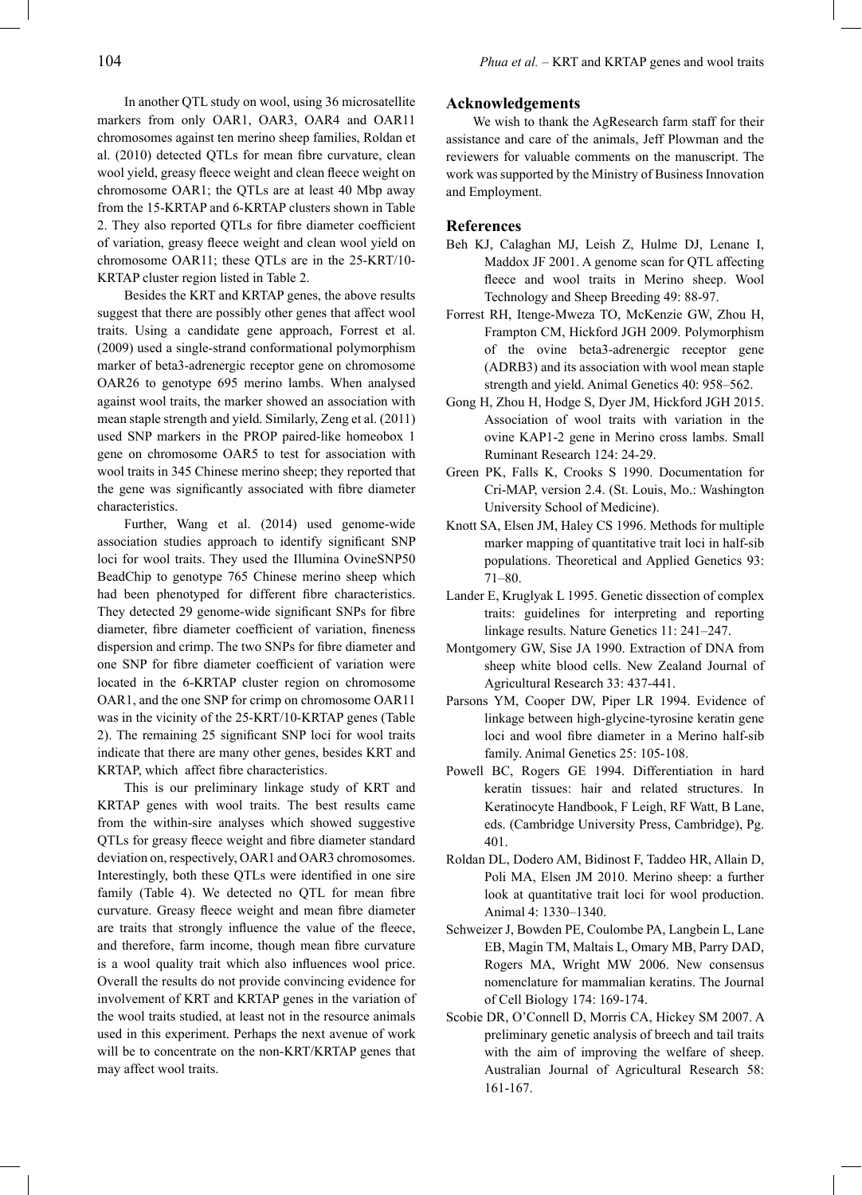In another QTL study on wool, using 36 microsatellite markers from only OAR1, OAR3, OAR4 and OAR11 chromosomes against ten merino sheep families, Roldan et al. (2010) detected QTLs for mean fibre curvature, clean wool yield, greasy fleece weight and clean fleece weight on chromosome OAR1; the QTLs are at least 40 Mbp away from the 15-KRTAP and 6-KRTAP clusters shown in Table 2. They also reported QTLs for fibre diameter coefficient of variation, greasy fleece weight and clean wool yield on chromosome OAR11; these QTLs are in the 25-KRT/10- KRTAP cluster region listed in Table 2.

Besides the KRT and KRTAP genes, the above results suggest that there are possibly other genes that affect wool traits. Using a candidate gene approach, Forrest et al. (2009) used a single-strand conformational polymorphism marker of beta3-adrenergic receptor gene on chromosome OAR26 to genotype 695 merino lambs. When analysed against wool traits, the marker showed an association with mean staple strength and yield. Similarly, Zeng et al. (2011) used SNP markers in the PROP paired-like homeobox 1 gene on chromosome OAR5 to test for association with wool traits in 345 Chinese merino sheep; they reported that the gene was significantly associated with fibre diameter characteristics.

Further, Wang et al. (2014) used genome-wide association studies approach to identify significant SNP loci for wool traits. They used the Illumina OvineSNP50 BeadChip to genotype 765 Chinese merino sheep which had been phenotyped for different fibre characteristics. They detected 29 genome-wide significant SNPs for fibre diameter, fibre diameter coefficient of variation, fineness dispersion and crimp. The two SNPs for fibre diameter and one SNP for fibre diameter coefficient of variation were located in the 6-KRTAP cluster region on chromosome OAR1, and the one SNP for crimp on chromosome OAR11 was in the vicinity of the 25-KRT/10-KRTAP genes (Table 2). The remaining 25 significant SNP loci for wool traits indicate that there are many other genes, besides KRT and KRTAP, which affect fibre characteristics.

This is our preliminary linkage study of KRT and KRTAP genes with wool traits. The best results came from the within-sire analyses which showed suggestive QTLs for greasy fleece weight and fibre diameter standard deviation on, respectively, OAR1 and OAR3 chromosomes. Interestingly, both these QTLs were identified in one sire family (Table 4). We detected no QTL for mean fibre curvature. Greasy fleece weight and mean fibre diameter are traits that strongly influence the value of the fleece, and therefore, farm income, though mean fibre curvature is a wool quality trait which also influences wool price. Overall the results do not provide convincing evidence for involvement of KRT and KRTAP genes in the variation of the wool traits studied, at least not in the resource animals used in this experiment. Perhaps the next avenue of work will be to concentrate on the non-KRT/KRTAP genes that may affect wool traits.

#### **Acknowledgements**

We wish to thank the AgResearch farm staff for their assistance and care of the animals, Jeff Plowman and the reviewers for valuable comments on the manuscript. The work was supported by the Ministry of Business Innovation and Employment.

#### **References**

- Beh KJ, Calaghan MJ, Leish Z, Hulme DJ, Lenane I, Maddox JF 2001. A genome scan for QTL affecting fleece and wool traits in Merino sheep. Wool Technology and Sheep Breeding 49: 88-97.
- Forrest RH, Itenge-Mweza TO, McKenzie GW, Zhou H, Frampton CM, Hickford JGH 2009. Polymorphism of the ovine beta3-adrenergic receptor gene (ADRB3) and its association with wool mean staple strength and yield. Animal Genetics 40: 958–562.
- Gong H, Zhou H, Hodge S, Dyer JM, Hickford JGH 2015. Association of wool traits with variation in the ovine KAP1-2 gene in Merino cross lambs. Small Ruminant Research 124: 24-29.
- Green PK, Falls K, Crooks S 1990. Documentation for Cri-MAP, version 2.4. (St. Louis, Mo.: Washington University School of Medicine).
- Knott SA, Elsen JM, Haley CS 1996. Methods for multiple marker mapping of quantitative trait loci in half-sib populations. Theoretical and Applied Genetics 93: 71–80.
- Lander E, Kruglyak L 1995. Genetic dissection of complex traits: guidelines for interpreting and reporting linkage results. Nature Genetics 11: 241–247.
- Montgomery GW, Sise JA 1990. Extraction of DNA from sheep white blood cells. New Zealand Journal of Agricultural Research 33: 437-441.
- Parsons YM, Cooper DW, Piper LR 1994. Evidence of linkage between high-glycine-tyrosine keratin gene loci and wool fibre diameter in a Merino half-sib family. Animal Genetics 25: 105-108.
- Powell BC, Rogers GE 1994. Differentiation in hard keratin tissues: hair and related structures. In Keratinocyte Handbook, F Leigh, RF Watt, B Lane, eds. (Cambridge University Press, Cambridge), Pg. 401.
- Roldan DL, Dodero AM, Bidinost F, Taddeo HR, Allain D, Poli MA, Elsen JM 2010. Merino sheep: a further look at quantitative trait loci for wool production. Animal 4: 1330–1340.
- Schweizer J, Bowden PE, Coulombe PA, Langbein L, Lane EB, Magin TM, Maltais L, Omary MB, Parry DAD, Rogers MA, Wright MW 2006. New consensus nomenclature for mammalian keratins. The Journal of Cell Biology 174: 169-174.
- Scobie DR, O'Connell D, Morris CA, Hickey SM 2007. A preliminary genetic analysis of breech and tail traits with the aim of improving the welfare of sheep. Australian Journal of Agricultural Research 58: 161-167.